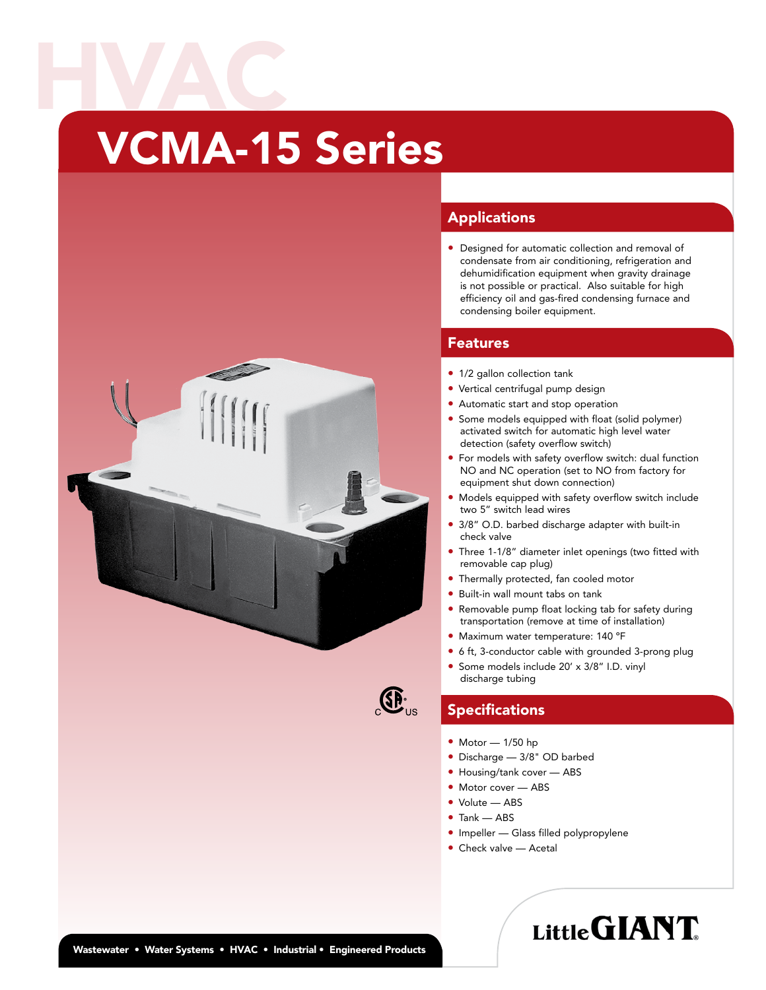# VCMA-15 Series HVAC





### Applications

• Designed for automatic collection and removal of condensate from air conditioning, refrigeration and dehumidification equipment when gravity drainage is not possible or practical. Also suitable for high efficiency oil and gas-fired condensing furnace and condensing boiler equipment.

#### Features

- 1/2 gallon collection tank
- Vertical centrifugal pump design
- Automatic start and stop operation
- Some models equipped with float (solid polymer) activated switch for automatic high level water detection (safety overflow switch)
- For models with safety overflow switch: dual function NO and NC operation (set to NO from factory for equipment shut down connection)
- Models equipped with safety overflow switch include two 5" switch lead wires
- 3/8" O.D. barbed discharge adapter with built-in check valve
- Three 1-1/8" diameter inlet openings (two fitted with removable cap plug)
- Thermally protected, fan cooled motor
- Built-in wall mount tabs on tank
- Removable pump float locking tab for safety during transportation (remove at time of installation)
- Maximum water temperature: 140 ºF
- 6 ft, 3-conductor cable with grounded 3-prong plug
- Some models include 20' x 3/8" I.D. vinyl discharge tubing

## **Specifications**

- Motor 1/50 hp
- Discharge 3/8" OD barbed
- Housing/tank cover ABS
- Motor cover ABS
- Volute ABS
- Tank ABS
- Impeller Glass filled polypropylene

LittleGIANT.

• Check valve — Acetal

#### Wastewater • Water Systems • HVAC • Industrial • Engineered Products